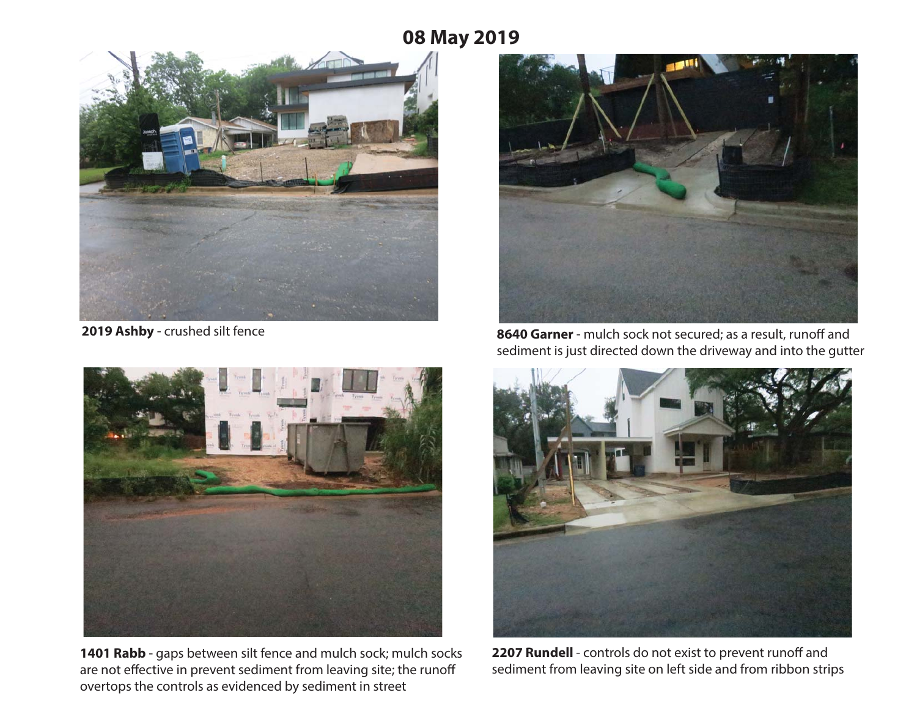## **08 May 2019**





**1401 Rabb** - gaps between silt fence and mulch sock; mulch socks are not effective in prevent sediment from leaving site; the runoff overtops the controls as evidenced by sediment in street



**2019 Ashby** - crushed silt fence **8640 Garner** - mulch sock not secured; as a result, runoff and sediment is just directed down the driveway and into the gutter



**2207 Rundell** - controls do not exist to prevent runoff and sediment from leaving site on left side and from ribbon strips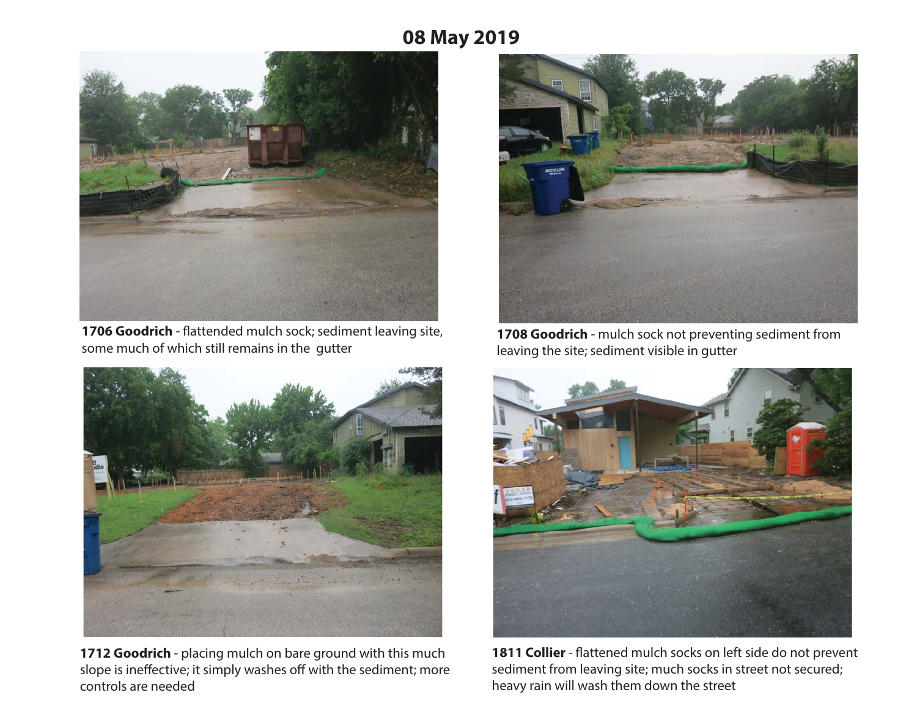# **08 May 2019**



**1706 Goodrich** - flattended mulch sock; sediment leaving site, some much of which still remains in the gutter



**1712 Goodrich** - placing mulch on bare ground with this much slope is ineffective; it simply washes off with the sediment; more controls are needed



**1708 Goodrich** - mulch sock not preventing sediment from leaving the site; sediment visible in gutter



**1811 Collier** - flattened mulch socks on left side do not prevent sediment from leaving site; much socks in street not secured; heavy rain will wash them down the street